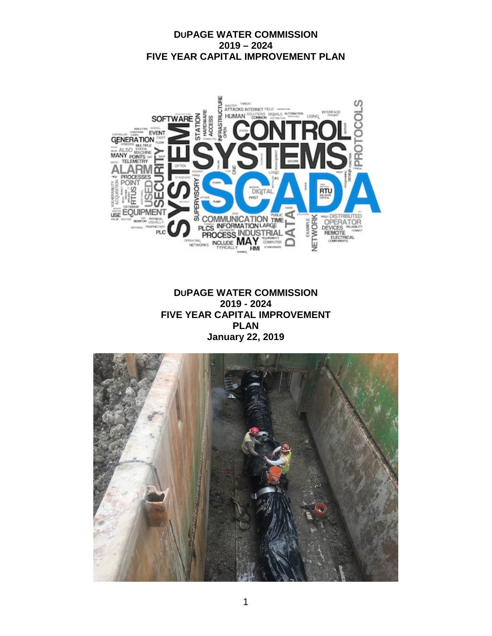

**DUPAGE WATER COMMISSION 2019 - 2024 FIVE YEAR CAPITAL IMPROVEMENT PLAN January 22, 2019**

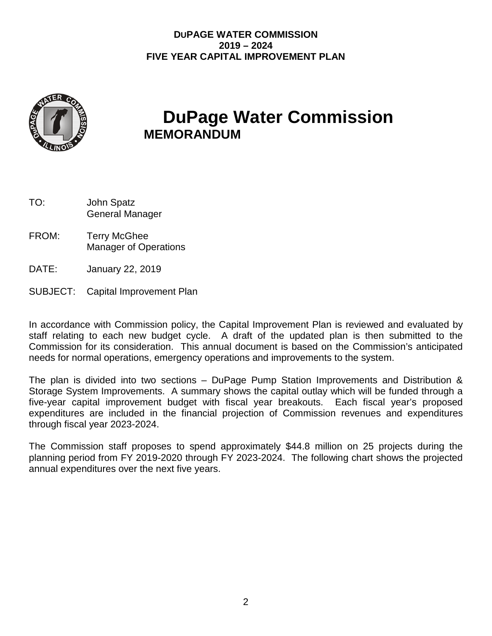

# **DuPage Water Commission**<br>MEMORANDUM

| TO: | John Spatz             |  |  |
|-----|------------------------|--|--|
|     | <b>General Manager</b> |  |  |

- FROM: Terry McGhee Manager of Operations
- DATE: January 22, 2019
- SUBJECT: Capital Improvement Plan

In accordance with Commission policy, the Capital Improvement Plan is reviewed and evaluated by staff relating to each new budget cycle. A draft of the updated plan is then submitted to the Commission for its consideration. This annual document is based on the Commission's anticipated needs for normal operations, emergency operations and improvements to the system.

The plan is divided into two sections – DuPage Pump Station Improvements and Distribution & Storage System Improvements. A summary shows the capital outlay which will be funded through a five-year capital improvement budget with fiscal year breakouts. Each fiscal year's proposed expenditures are included in the financial projection of Commission revenues and expenditures through fiscal year 2023-2024.

The Commission staff proposes to spend approximately \$44.8 million on 25 projects during the planning period from FY 2019-2020 through FY 2023-2024. The following chart shows the projected annual expenditures over the next five years.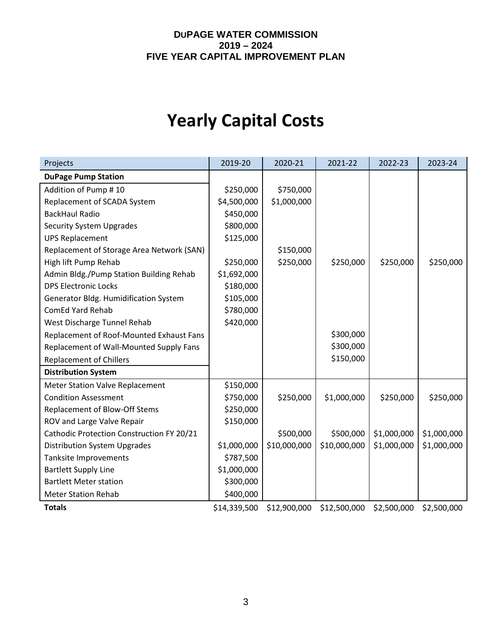# **Yearly Capital Costs**

| Projects                                  | 2019-20      | 2020-21      | 2021-22      | 2022-23     | 2023-24     |
|-------------------------------------------|--------------|--------------|--------------|-------------|-------------|
| <b>DuPage Pump Station</b>                |              |              |              |             |             |
| Addition of Pump #10                      | \$250,000    | \$750,000    |              |             |             |
| Replacement of SCADA System               | \$4,500,000  | \$1,000,000  |              |             |             |
| <b>BackHaul Radio</b>                     | \$450,000    |              |              |             |             |
| <b>Security System Upgrades</b>           | \$800,000    |              |              |             |             |
| <b>UPS Replacement</b>                    | \$125,000    |              |              |             |             |
| Replacement of Storage Area Network (SAN) |              | \$150,000    |              |             |             |
| High lift Pump Rehab                      | \$250,000    | \$250,000    | \$250,000    | \$250,000   | \$250,000   |
| Admin Bldg./Pump Station Building Rehab   | \$1,692,000  |              |              |             |             |
| <b>DPS Electronic Locks</b>               | \$180,000    |              |              |             |             |
| Generator Bldg. Humidification System     | \$105,000    |              |              |             |             |
| <b>ComEd Yard Rehab</b>                   | \$780,000    |              |              |             |             |
| West Discharge Tunnel Rehab               | \$420,000    |              |              |             |             |
| Replacement of Roof-Mounted Exhaust Fans  |              |              | \$300,000    |             |             |
| Replacement of Wall-Mounted Supply Fans   |              |              | \$300,000    |             |             |
| <b>Replacement of Chillers</b>            |              |              | \$150,000    |             |             |
| <b>Distribution System</b>                |              |              |              |             |             |
| <b>Meter Station Valve Replacement</b>    | \$150,000    |              |              |             |             |
| <b>Condition Assessment</b>               | \$750,000    | \$250,000    | \$1,000,000  | \$250,000   | \$250,000   |
| Replacement of Blow-Off Stems             | \$250,000    |              |              |             |             |
| ROV and Large Valve Repair                | \$150,000    |              |              |             |             |
| Cathodic Protection Construction FY 20/21 |              | \$500,000    | \$500,000    | \$1,000,000 | \$1,000,000 |
| <b>Distribution System Upgrades</b>       | \$1,000,000  | \$10,000,000 | \$10,000,000 | \$1,000,000 | \$1,000,000 |
| Tanksite Improvements                     | \$787,500    |              |              |             |             |
| <b>Bartlett Supply Line</b>               | \$1,000,000  |              |              |             |             |
| <b>Bartlett Meter station</b>             | \$300,000    |              |              |             |             |
| <b>Meter Station Rehab</b>                | \$400,000    |              |              |             |             |
| <b>Totals</b>                             | \$14,339,500 | \$12,900,000 | \$12,500,000 | \$2,500,000 | \$2,500,000 |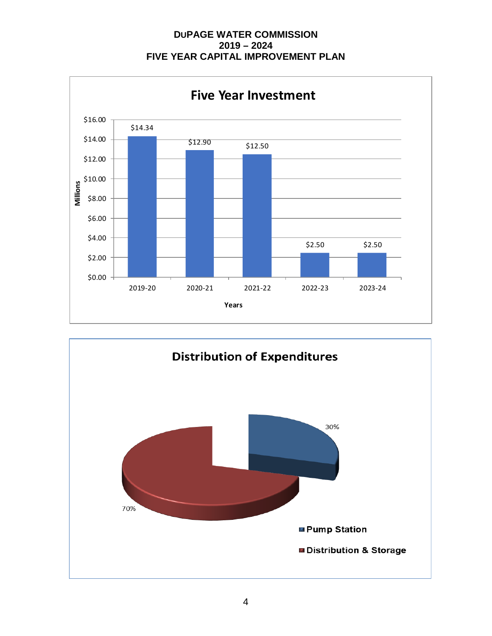**DUPAGE WATER COMMISSION 2019 – 2024 FIVE YEAR CAPITAL IMPROVEMENT PLAN**



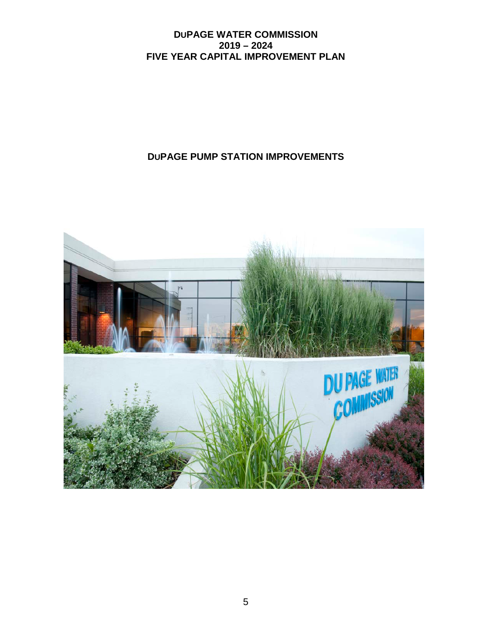# **DUPAGE PUMP STATION IMPROVEMENTS**

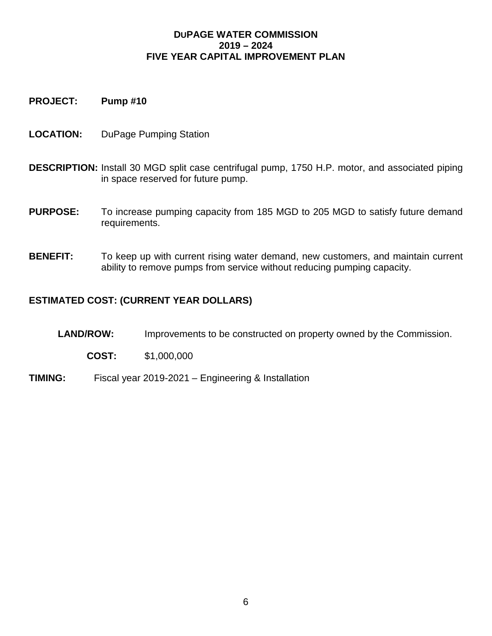**PROJECT: Pump #10**

- **LOCATION:** DuPage Pumping Station
- **DESCRIPTION:** Install 30 MGD split case centrifugal pump, 1750 H.P. motor, and associated piping in space reserved for future pump.
- **PURPOSE:** To increase pumping capacity from 185 MGD to 205 MGD to satisfy future demand requirements.
- **BENEFIT:** To keep up with current rising water demand, new customers, and maintain current ability to remove pumps from service without reducing pumping capacity.

- LAND/ROW: Improvements to be constructed on property owned by the Commission.
	- **COST:** \$1,000,000
- **TIMING:** Fiscal year 2019-2021 Engineering & Installation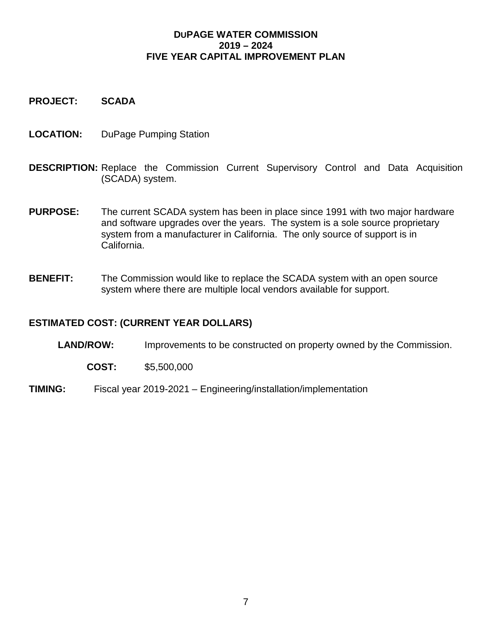**PROJECT: SCADA**

- **LOCATION:** DuPage Pumping Station
- **DESCRIPTION:** Replace the Commission Current Supervisory Control and Data Acquisition (SCADA) system.
- **PURPOSE:** The current SCADA system has been in place since 1991 with two major hardware and software upgrades over the years. The system is a sole source proprietary system from a manufacturer in California. The only source of support is in California.
- **BENEFIT:** The Commission would like to replace the SCADA system with an open source system where there are multiple local vendors available for support.

#### **ESTIMATED COST: (CURRENT YEAR DOLLARS)**

**LAND/ROW:** Improvements to be constructed on property owned by the Commission.

- **COST:** \$5,500,000
- **TIMING:** Fiscal year 2019-2021 Engineering/installation/implementation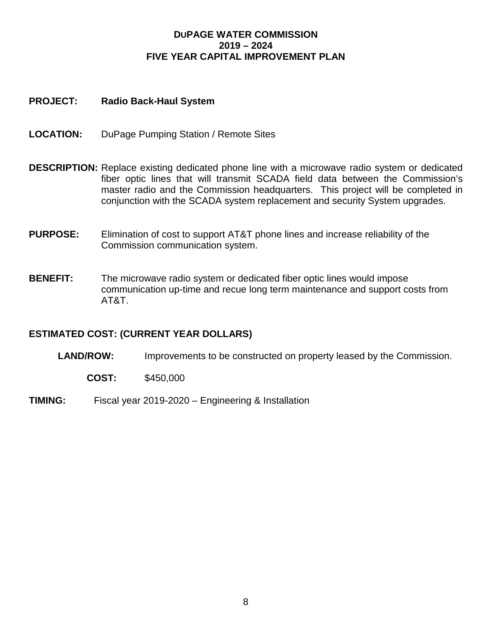#### **PROJECT: Radio Back-Haul System**

- **LOCATION:** DuPage Pumping Station / Remote Sites
- **DESCRIPTION:** Replace existing dedicated phone line with a microwave radio system or dedicated fiber optic lines that will transmit SCADA field data between the Commission's master radio and the Commission headquarters. This project will be completed in conjunction with the SCADA system replacement and security System upgrades.
- **PURPOSE:** Elimination of cost to support AT&T phone lines and increase reliability of the Commission communication system.
- **BENEFIT:** The microwave radio system or dedicated fiber optic lines would impose communication up-time and recue long term maintenance and support costs from AT&T.

#### **ESTIMATED COST: (CURRENT YEAR DOLLARS)**

LAND/ROW: Improvements to be constructed on property leased by the Commission.

- **COST:** \$450,000
- **TIMING:** Fiscal year 2019-2020 Engineering & Installation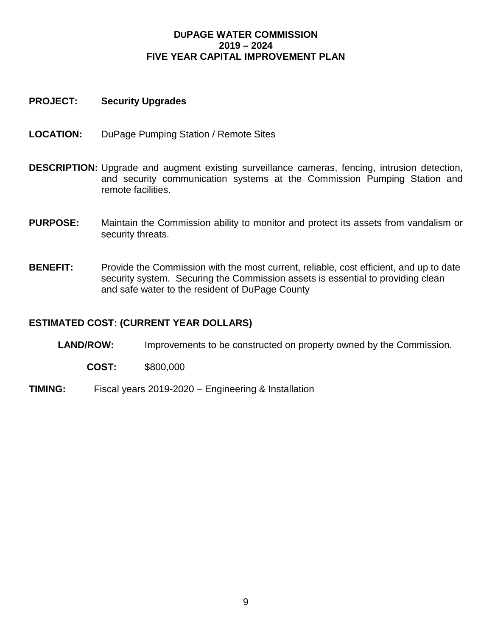#### **PROJECT: Security Upgrades**

- **LOCATION:** DuPage Pumping Station / Remote Sites
- **DESCRIPTION:** Upgrade and augment existing surveillance cameras, fencing, intrusion detection, and security communication systems at the Commission Pumping Station and remote facilities.
- **PURPOSE:** Maintain the Commission ability to monitor and protect its assets from vandalism or security threats.
- **BENEFIT:** Provide the Commission with the most current, reliable, cost efficient, and up to date security system. Securing the Commission assets is essential to providing clean and safe water to the resident of DuPage County

- **LAND/ROW:** Improvements to be constructed on property owned by the Commission.
	- **COST:** \$800,000
- **TIMING:** Fiscal years 2019-2020 Engineering & Installation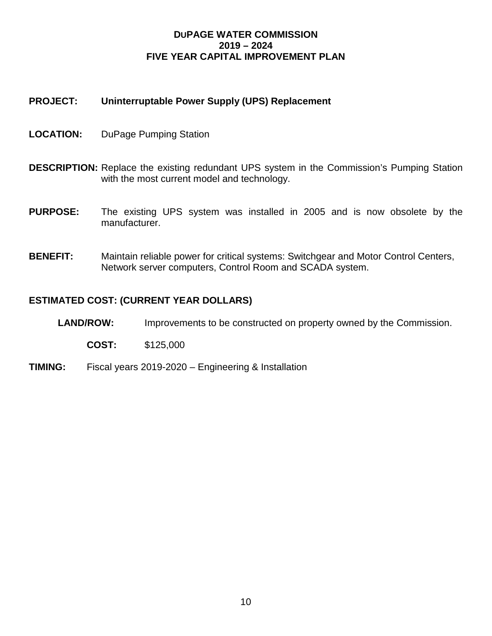#### **PROJECT: Uninterruptable Power Supply (UPS) Replacement**

- **LOCATION:** DuPage Pumping Station
- **DESCRIPTION:** Replace the existing redundant UPS system in the Commission's Pumping Station with the most current model and technology.
- **PURPOSE:** The existing UPS system was installed in 2005 and is now obsolete by the manufacturer.
- **BENEFIT:** Maintain reliable power for critical systems: Switchgear and Motor Control Centers, Network server computers, Control Room and SCADA system.

- **LAND/ROW:** Improvements to be constructed on property owned by the Commission.
	- **COST:** \$125,000
- **TIMING:** Fiscal years 2019-2020 Engineering & Installation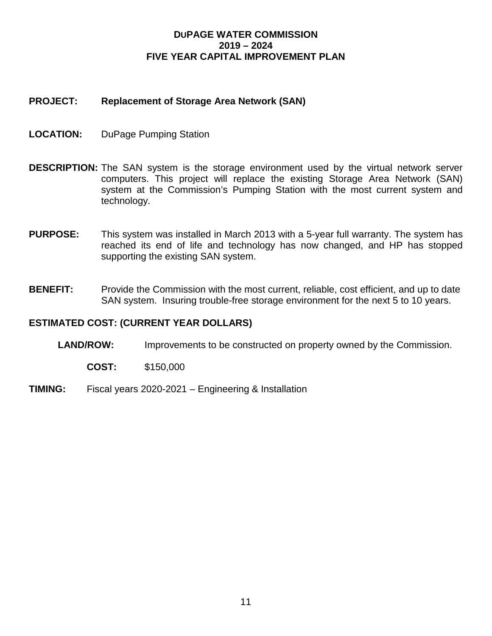#### **PROJECT: Replacement of Storage Area Network (SAN)**

- **LOCATION:** DuPage Pumping Station
- **DESCRIPTION:** The SAN system is the storage environment used by the virtual network server computers. This project will replace the existing Storage Area Network (SAN) system at the Commission's Pumping Station with the most current system and technology.
- **PURPOSE:** This system was installed in March 2013 with a 5-year full warranty. The system has reached its end of life and technology has now changed, and HP has stopped supporting the existing SAN system.
- **BENEFIT:** Provide the Commission with the most current, reliable, cost efficient, and up to date SAN system. Insuring trouble-free storage environment for the next 5 to 10 years.

- **LAND/ROW:** Improvements to be constructed on property owned by the Commission.
	- **COST:** \$150,000
- **TIMING:** Fiscal years 2020-2021 Engineering & Installation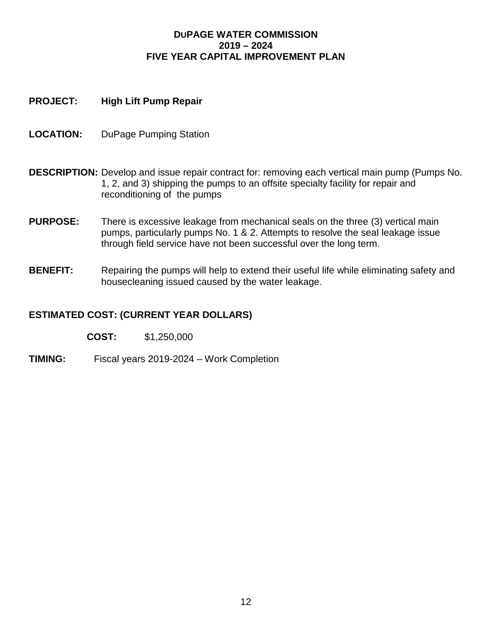#### **PROJECT: High Lift Pump Repair**

- **LOCATION:** DuPage Pumping Station
- **DESCRIPTION:** Develop and issue repair contract for: removing each vertical main pump (Pumps No. 1, 2, and 3) shipping the pumps to an offsite specialty facility for repair and reconditioning of the pumps
- **PURPOSE:** There is excessive leakage from mechanical seals on the three (3) vertical main pumps, particularly pumps No. 1 & 2. Attempts to resolve the seal leakage issue through field service have not been successful over the long term.
- **BENEFIT:** Repairing the pumps will help to extend their useful life while eliminating safety and housecleaning issued caused by the water leakage.

## **ESTIMATED COST: (CURRENT YEAR DOLLARS)**

**COST:** \$1,250,000

**TIMING:** Fiscal years 2019-2024 – Work Completion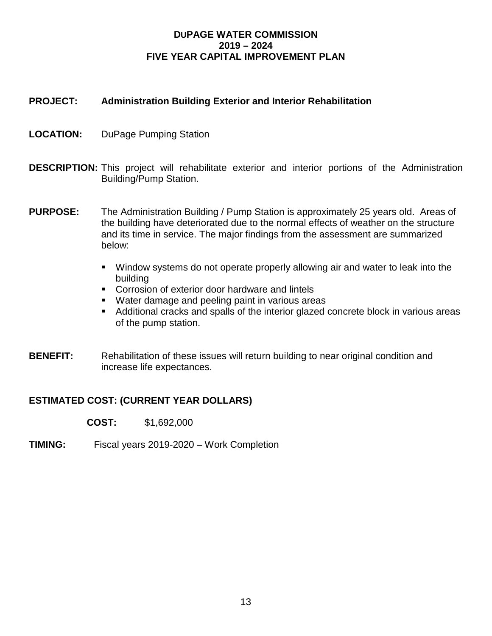#### **PROJECT: Administration Building Exterior and Interior Rehabilitation**

- **LOCATION:** DuPage Pumping Station
- **DESCRIPTION:** This project will rehabilitate exterior and interior portions of the Administration Building/Pump Station.
- **PURPOSE:** The Administration Building / Pump Station is approximately 25 years old. Areas of the building have deteriorated due to the normal effects of weather on the structure and its time in service. The major findings from the assessment are summarized below:
	- Window systems do not operate properly allowing air and water to leak into the building
	- **Corrosion of exterior door hardware and lintels**
	- **Water damage and peeling paint in various areas**
	- Additional cracks and spalls of the interior glazed concrete block in various areas of the pump station.
- **BENEFIT:** Rehabilitation of these issues will return building to near original condition and increase life expectances.

#### **ESTIMATED COST: (CURRENT YEAR DOLLARS)**

**COST:** \$1,692,000

**TIMING:** Fiscal years 2019-2020 – Work Completion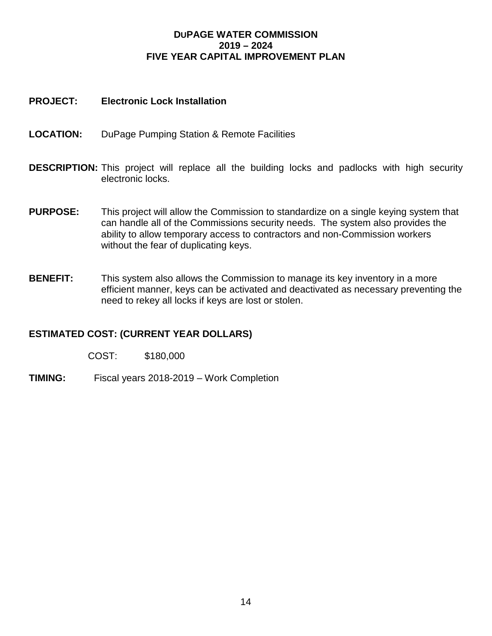#### **PROJECT: Electronic Lock Installation**

- **LOCATION:** DuPage Pumping Station & Remote Facilities
- **DESCRIPTION:** This project will replace all the building locks and padlocks with high security electronic locks.
- **PURPOSE:** This project will allow the Commission to standardize on a single keying system that can handle all of the Commissions security needs. The system also provides the ability to allow temporary access to contractors and non-Commission workers without the fear of duplicating keys.
- **BENEFIT:** This system also allows the Commission to manage its key inventory in a more efficient manner, keys can be activated and deactivated as necessary preventing the need to rekey all locks if keys are lost or stolen.

#### **ESTIMATED COST: (CURRENT YEAR DOLLARS)**

COST: \$180,000

**TIMING:** Fiscal years 2018-2019 – Work Completion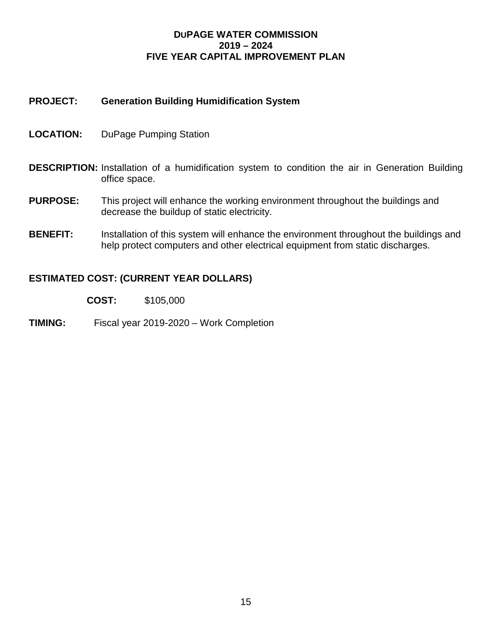#### **PROJECT: Generation Building Humidification System**

- **LOCATION:** DuPage Pumping Station
- **DESCRIPTION:** Installation of a humidification system to condition the air in Generation Building office space.
- **PURPOSE:** This project will enhance the working environment throughout the buildings and decrease the buildup of static electricity.
- **BENEFIT:** Installation of this system will enhance the environment throughout the buildings and help protect computers and other electrical equipment from static discharges.

- **COST:** \$105,000
- **TIMING:** Fiscal year 2019-2020 Work Completion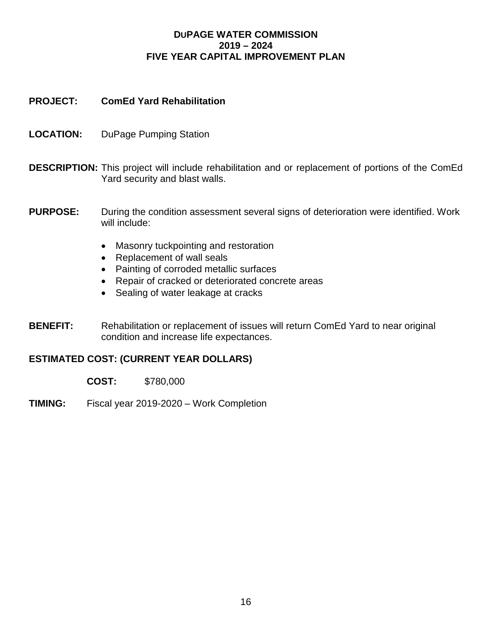#### **PROJECT: ComEd Yard Rehabilitation**

- **LOCATION:** DuPage Pumping Station
- **DESCRIPTION:** This project will include rehabilitation and or replacement of portions of the ComEd Yard security and blast walls.
- **PURPOSE:** During the condition assessment several signs of deterioration were identified. Work will include:
	- Masonry tuckpointing and restoration
	- Replacement of wall seals
	- Painting of corroded metallic surfaces
	- Repair of cracked or deteriorated concrete areas
	- Sealing of water leakage at cracks
- **BENEFIT:** Rehabilitation or replacement of issues will return ComEd Yard to near original condition and increase life expectances.

#### **ESTIMATED COST: (CURRENT YEAR DOLLARS)**

**COST:** \$780,000

**TIMING:** Fiscal year 2019-2020 – Work Completion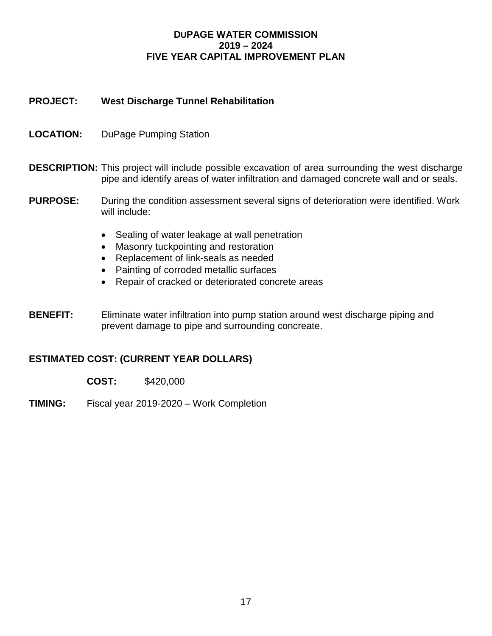#### **PROJECT: West Discharge Tunnel Rehabilitation**

- **LOCATION:** DuPage Pumping Station
- **DESCRIPTION:** This project will include possible excavation of area surrounding the west discharge pipe and identify areas of water infiltration and damaged concrete wall and or seals.
- **PURPOSE:** During the condition assessment several signs of deterioration were identified. Work will include:
	- Sealing of water leakage at wall penetration
	- Masonry tuckpointing and restoration
	- Replacement of link-seals as needed
	- Painting of corroded metallic surfaces
	- Repair of cracked or deteriorated concrete areas
- **BENEFIT:** Eliminate water infiltration into pump station around west discharge piping and prevent damage to pipe and surrounding concreate.

#### **ESTIMATED COST: (CURRENT YEAR DOLLARS)**

**COST:** \$420,000

**TIMING:** Fiscal year 2019-2020 – Work Completion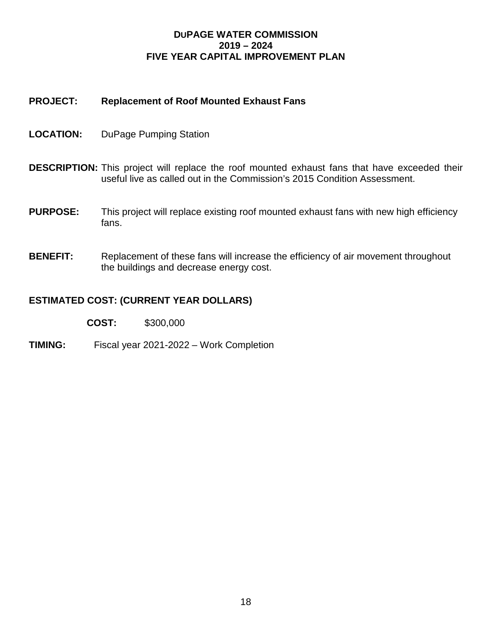#### **PROJECT: Replacement of Roof Mounted Exhaust Fans**

- **LOCATION:** DuPage Pumping Station
- **DESCRIPTION:** This project will replace the roof mounted exhaust fans that have exceeded their useful live as called out in the Commission's 2015 Condition Assessment.
- **PURPOSE:** This project will replace existing roof mounted exhaust fans with new high efficiency fans.
- **BENEFIT:** Replacement of these fans will increase the efficiency of air movement throughout the buildings and decrease energy cost.

#### **ESTIMATED COST: (CURRENT YEAR DOLLARS)**

**COST:** \$300,000

**TIMING:** Fiscal year 2021-2022 – Work Completion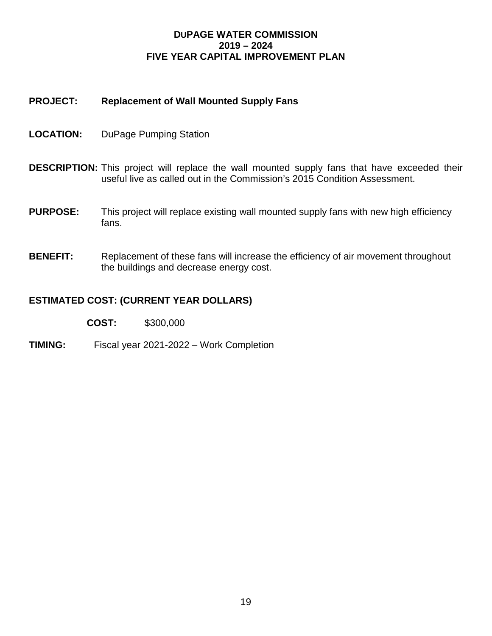#### **PROJECT: Replacement of Wall Mounted Supply Fans**

- **LOCATION:** DuPage Pumping Station
- **DESCRIPTION:** This project will replace the wall mounted supply fans that have exceeded their useful live as called out in the Commission's 2015 Condition Assessment.
- **PURPOSE:** This project will replace existing wall mounted supply fans with new high efficiency fans.
- **BENEFIT:** Replacement of these fans will increase the efficiency of air movement throughout the buildings and decrease energy cost.

#### **ESTIMATED COST: (CURRENT YEAR DOLLARS)**

**COST:** \$300,000

**TIMING:** Fiscal year 2021-2022 – Work Completion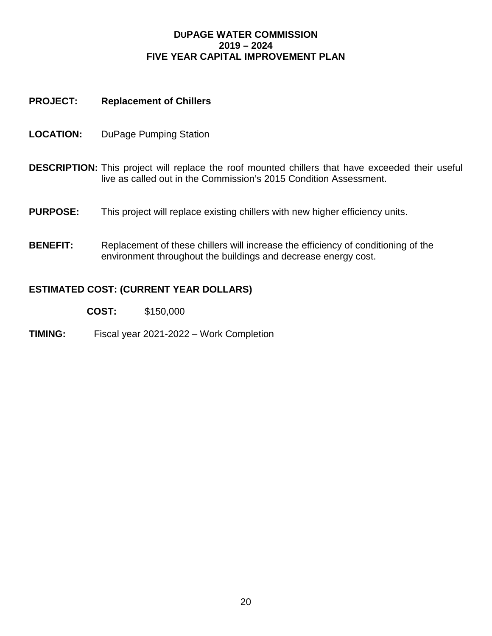#### **PROJECT: Replacement of Chillers**

- **LOCATION:** DuPage Pumping Station
- **DESCRIPTION:** This project will replace the roof mounted chillers that have exceeded their useful live as called out in the Commission's 2015 Condition Assessment.
- **PURPOSE:** This project will replace existing chillers with new higher efficiency units.
- **BENEFIT:** Replacement of these chillers will increase the efficiency of conditioning of the environment throughout the buildings and decrease energy cost.

- **COST:** \$150,000
- **TIMING:** Fiscal year 2021-2022 Work Completion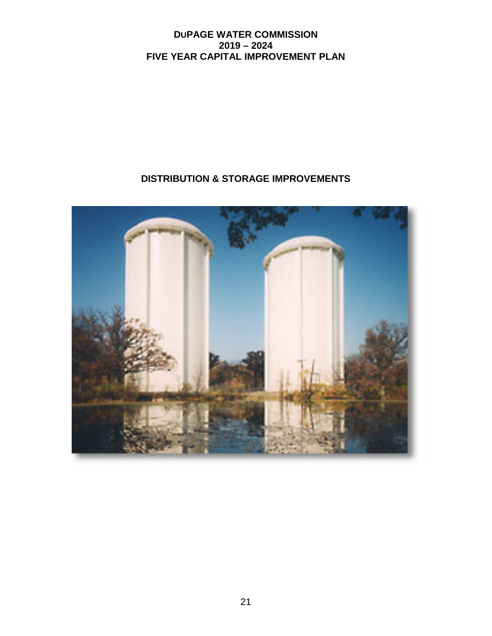# **DISTRIBUTION & STORAGE IMPROVEMENTS**

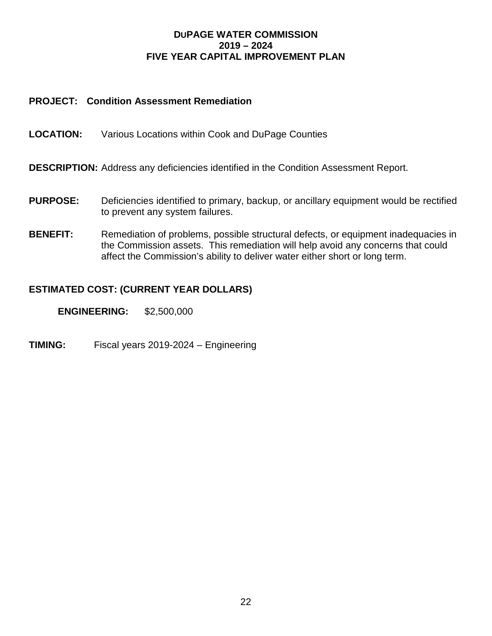#### **PROJECT: Condition Assessment Remediation**

**LOCATION:** Various Locations within Cook and DuPage Counties

**DESCRIPTION:** Address any deficiencies identified in the Condition Assessment Report.

- **PURPOSE:** Deficiencies identified to primary, backup, or ancillary equipment would be rectified to prevent any system failures.
- **BENEFIT:** Remediation of problems, possible structural defects, or equipment inadequacies in the Commission assets. This remediation will help avoid any concerns that could affect the Commission's ability to deliver water either short or long term.

#### **ESTIMATED COST: (CURRENT YEAR DOLLARS)**

**ENGINEERING:** \$2,500,000

**TIMING:** Fiscal years 2019-2024 – Engineering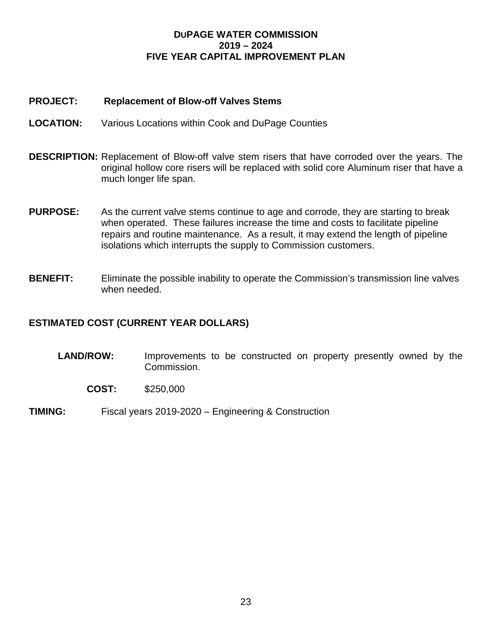#### **PROJECT: Replacement of Blow-off Valves Stems**

- **LOCATION:** Various Locations within Cook and DuPage Counties
- **DESCRIPTION:** Replacement of Blow-off valve stem risers that have corroded over the years. The original hollow core risers will be replaced with solid core Aluminum riser that have a much longer life span.
- **PURPOSE:** As the current valve stems continue to age and corrode, they are starting to break when operated. These failures increase the time and costs to facilitate pipeline repairs and routine maintenance. As a result, it may extend the length of pipeline isolations which interrupts the supply to Commission customers.
- **BENEFIT:** Eliminate the possible inability to operate the Commission's transmission line valves when needed.

- **LAND/ROW:** Improvements to be constructed on property presently owned by the Commission.
	- **COST:** \$250,000
- **TIMING:** Fiscal years 2019-2020 Engineering & Construction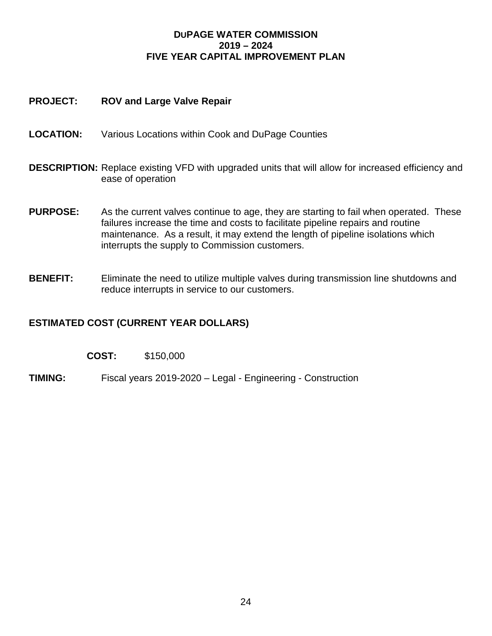#### **PROJECT: ROV and Large Valve Repair**

- **LOCATION:** Various Locations within Cook and DuPage Counties
- **DESCRIPTION:** Replace existing VFD with upgraded units that will allow for increased efficiency and ease of operation
- **PURPOSE:** As the current valves continue to age, they are starting to fail when operated. These failures increase the time and costs to facilitate pipeline repairs and routine maintenance. As a result, it may extend the length of pipeline isolations which interrupts the supply to Commission customers.
- **BENEFIT:** Eliminate the need to utilize multiple valves during transmission line shutdowns and reduce interrupts in service to our customers.

#### **ESTIMATED COST (CURRENT YEAR DOLLARS)**

| COST: | \$150,000 |
|-------|-----------|
|-------|-----------|

**TIMING:** Fiscal years 2019-2020 – Legal - Engineering - Construction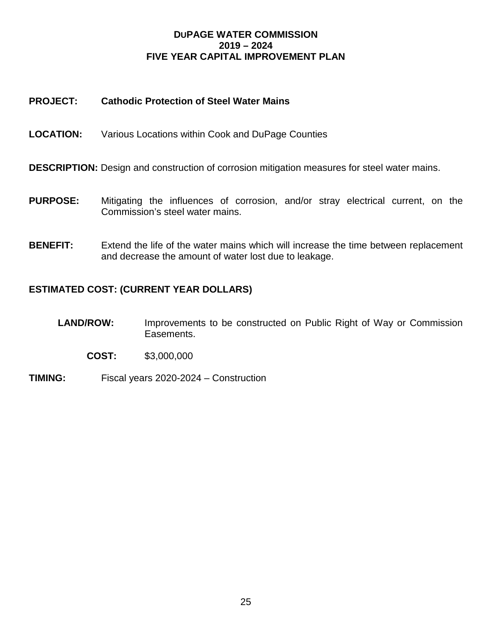#### **PROJECT: Cathodic Protection of Steel Water Mains**

- **LOCATION:** Various Locations within Cook and DuPage Counties
- **DESCRIPTION:** Design and construction of corrosion mitigation measures for steel water mains.
- **PURPOSE:** Mitigating the influences of corrosion, and/or stray electrical current, on the Commission's steel water mains.
- **BENEFIT:** Extend the life of the water mains which will increase the time between replacement and decrease the amount of water lost due to leakage.

- **LAND/ROW:** Improvements to be constructed on Public Right of Way or Commission Easements.
	- **COST:** \$3,000,000
- **TIMING:** Fiscal years 2020-2024 Construction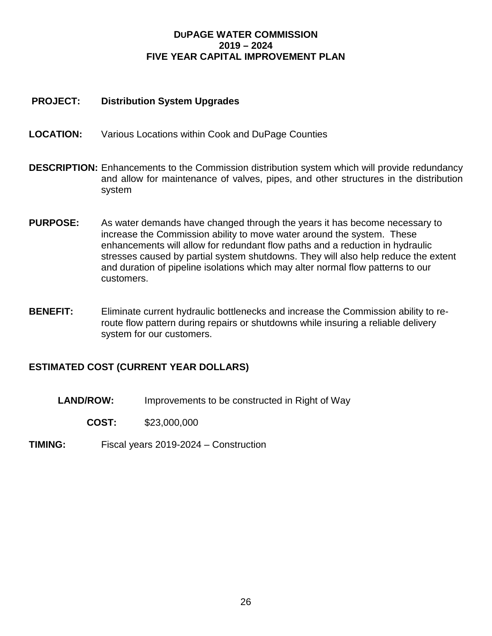#### **PROJECT: Distribution System Upgrades**

- **LOCATION:** Various Locations within Cook and DuPage Counties
- **DESCRIPTION:** Enhancements to the Commission distribution system which will provide redundancy and allow for maintenance of valves, pipes, and other structures in the distribution system
- **PURPOSE:** As water demands have changed through the years it has become necessary to increase the Commission ability to move water around the system. These enhancements will allow for redundant flow paths and a reduction in hydraulic stresses caused by partial system shutdowns. They will also help reduce the extent and duration of pipeline isolations which may alter normal flow patterns to our customers.
- **BENEFIT:** Eliminate current hydraulic bottlenecks and increase the Commission ability to reroute flow pattern during repairs or shutdowns while insuring a reliable delivery system for our customers.

#### **ESTIMATED COST (CURRENT YEAR DOLLARS)**

**LAND/ROW:** Improvements to be constructed in Right of Way

**COST:** \$23,000,000

**TIMING:** Fiscal years 2019-2024 – Construction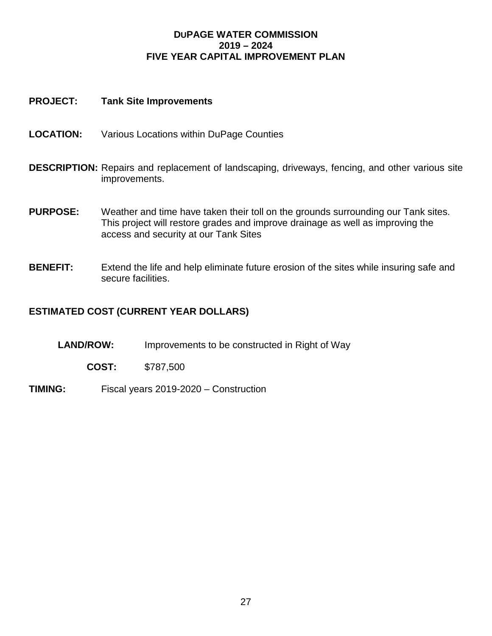#### **PROJECT: Tank Site Improvements**

- **LOCATION:** Various Locations within DuPage Counties
- **DESCRIPTION:** Repairs and replacement of landscaping, driveways, fencing, and other various site improvements.
- **PURPOSE:** Weather and time have taken their toll on the grounds surrounding our Tank sites. This project will restore grades and improve drainage as well as improving the access and security at our Tank Sites
- **BENEFIT:** Extend the life and help eliminate future erosion of the sites while insuring safe and secure facilities.

- **LAND/ROW:** Improvements to be constructed in Right of Way
	- **COST:** \$787,500
- **TIMING:** Fiscal years 2019-2020 Construction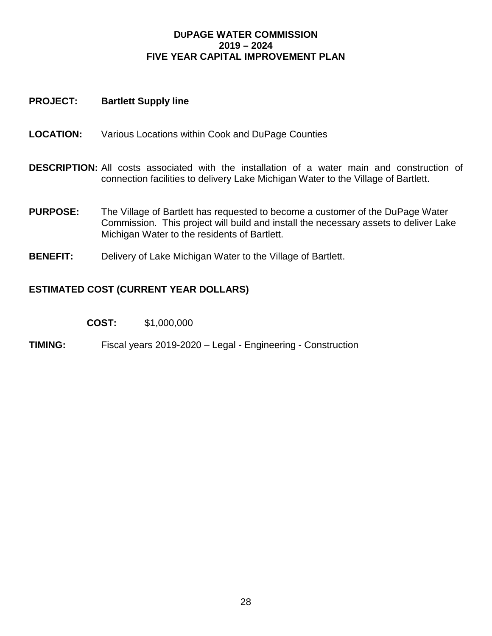#### **PROJECT: Bartlett Supply line**

- **LOCATION:** Various Locations within Cook and DuPage Counties
- **DESCRIPTION:** All costs associated with the installation of a water main and construction of connection facilities to delivery Lake Michigan Water to the Village of Bartlett.
- **PURPOSE:** The Village of Bartlett has requested to become a customer of the DuPage Water Commission. This project will build and install the necessary assets to deliver Lake Michigan Water to the residents of Bartlett.
- **BENEFIT:** Delivery of Lake Michigan Water to the Village of Bartlett.

#### **ESTIMATED COST (CURRENT YEAR DOLLARS)**

| COST: | \$1,000,000 |
|-------|-------------|
|-------|-------------|

**TIMING:** Fiscal years 2019-2020 – Legal - Engineering - Construction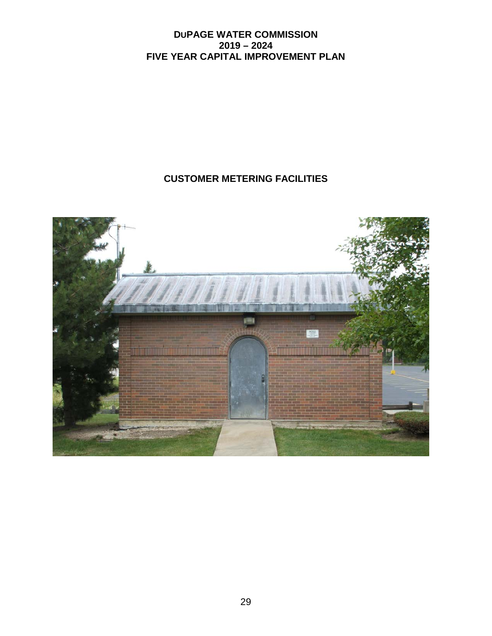# **CUSTOMER METERING FACILITIES**

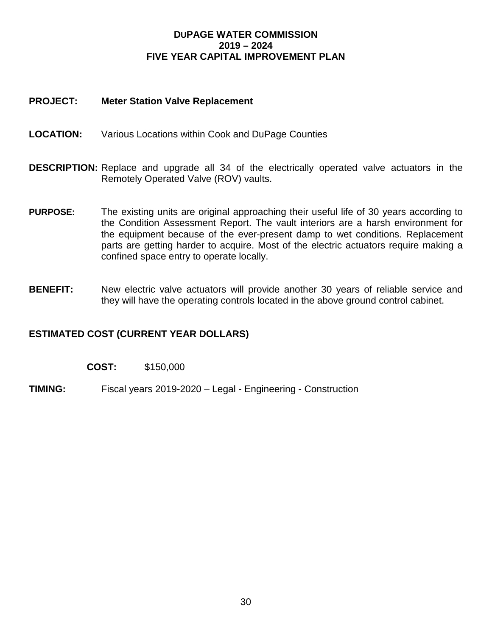#### **PROJECT: Meter Station Valve Replacement**

- **LOCATION:** Various Locations within Cook and DuPage Counties
- **DESCRIPTION:** Replace and upgrade all 34 of the electrically operated valve actuators in the Remotely Operated Valve (ROV) vaults.
- **PURPOSE:** The existing units are original approaching their useful life of 30 years according to the Condition Assessment Report. The vault interiors are a harsh environment for the equipment because of the ever-present damp to wet conditions. Replacement parts are getting harder to acquire. Most of the electric actuators require making a confined space entry to operate locally.
- **BENEFIT:** New electric valve actuators will provide another 30 years of reliable service and they will have the operating controls located in the above ground control cabinet.

- **COST:** \$150,000
- **TIMING:** Fiscal years 2019-2020 Legal Engineering Construction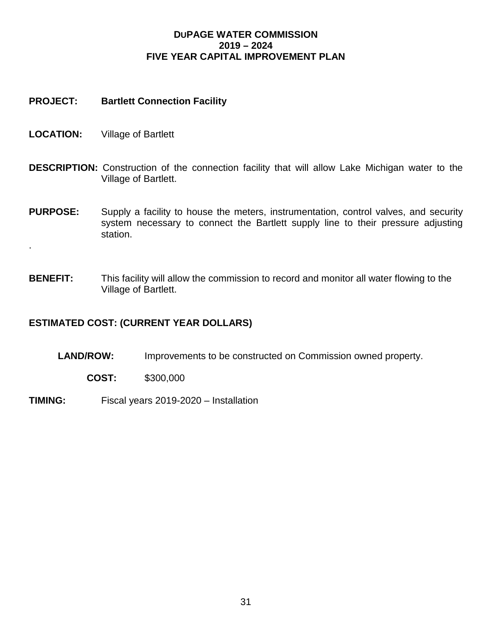#### **PROJECT: Bartlett Connection Facility**

**LOCATION:** Village of Bartlett

.

- **DESCRIPTION:** Construction of the connection facility that will allow Lake Michigan water to the Village of Bartlett.
- **PURPOSE:** Supply a facility to house the meters, instrumentation, control valves, and security system necessary to connect the Bartlett supply line to their pressure adjusting station.
- **BENEFIT:** This facility will allow the commission to record and monitor all water flowing to the Village of Bartlett.

- **LAND/ROW:** Improvements to be constructed on Commission owned property.
	- **COST:** \$300,000
- **TIMING:** Fiscal years 2019-2020 Installation